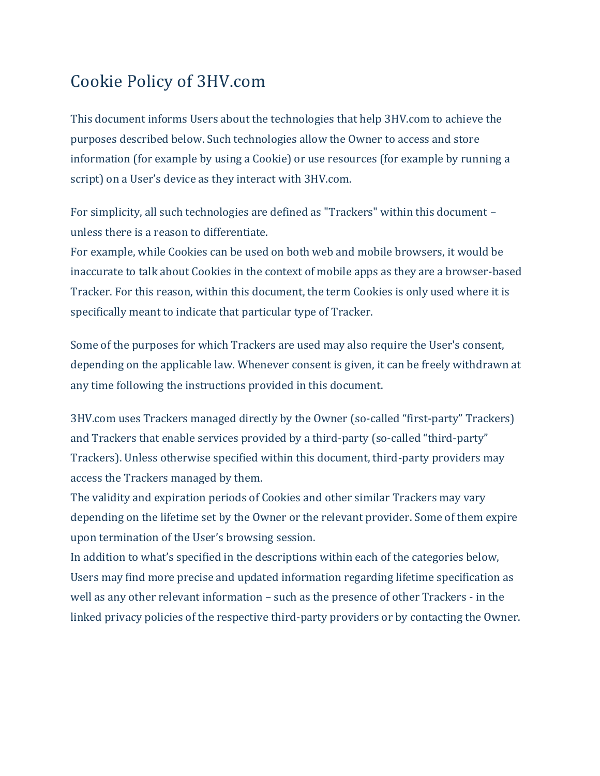#### Cookie Policy of 3HV.com

This document informs Users about the technologies that help 3HV.com to achieve the purposes described below. Such technologies allow the Owner to access and store information (for example by using a Cookie) or use resources (for example by running a script) on a User's device as they interact with 3HV.com.

For simplicity, all such technologies are defined as "Trackers" within this document – unless there is a reason to differentiate.

For example, while Cookies can be used on both web and mobile browsers, it would be inaccurate to talk about Cookies in the context of mobile apps as they are a browser-based Tracker. For this reason, within this document, the term Cookies is only used where it is specifically meant to indicate that particular type of Tracker.

Some of the purposes for which Trackers are used may also require the User's consent, depending on the applicable law. Whenever consent is given, it can be freely withdrawn at any time following the instructions provided in this document.

3HV.com uses Trackers managed directly by the Owner (so-called "first-party" Trackers) and Trackers that enable services provided by a third-party (so-called "third-party" Trackers). Unless otherwise specified within this document, third-party providers may access the Trackers managed by them.

The validity and expiration periods of Cookies and other similar Trackers may vary depending on the lifetime set by the Owner or the relevant provider. Some of them expire upon termination of the User's browsing session.

In addition to what's specified in the descriptions within each of the categories below, Users may find more precise and updated information regarding lifetime specification as well as any other relevant information – such as the presence of other Trackers - in the linked privacy policies of the respective third-party providers or by contacting the Owner.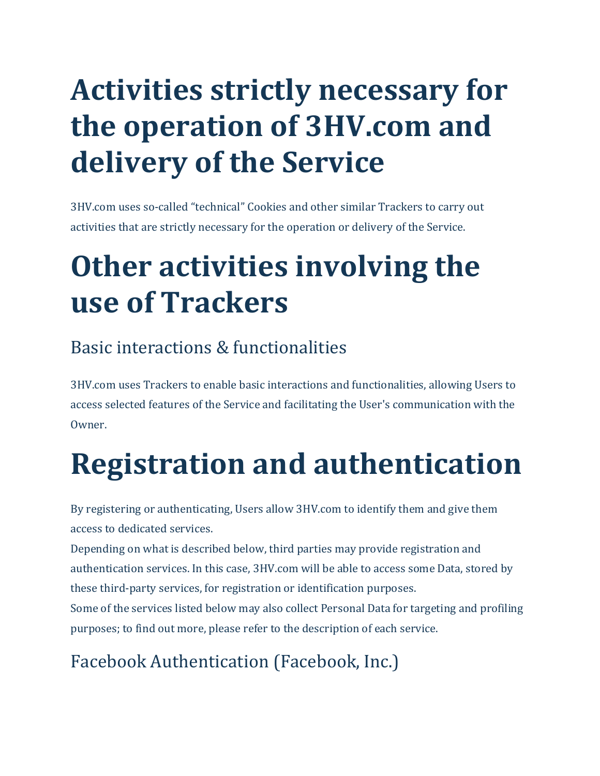# **Activities strictly necessary for the operation of 3HV.com and delivery of the Service**

3HV.com uses so-called "technical" Cookies and other similar Trackers to carry out activities that are strictly necessary for the operation or delivery of the Service.

# **Other activities involving the use of Trackers**

### Basic interactions & functionalities

3HV.com uses Trackers to enable basic interactions and functionalities, allowing Users to access selected features of the Service and facilitating the User's communication with the Owner.

# **Registration and authentication**

By registering or authenticating, Users allow 3HV.com to identify them and give them access to dedicated services.

Depending on what is described below, third parties may provide registration and authentication services. In this case, 3HV.com will be able to access some Data, stored by these third-party services, for registration or identification purposes.

Some of the services listed below may also collect Personal Data for targeting and profiling purposes; to find out more, please refer to the description of each service.

# Facebook Authentication (Facebook, Inc.)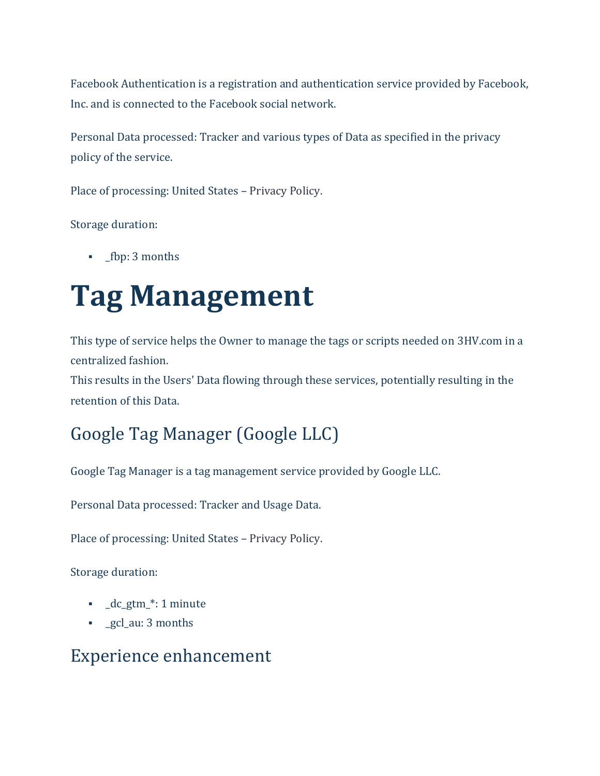Facebook Authentication is a registration and authentication service provided by Facebook, Inc. and is connected to the Facebook social network.

Personal Data processed: Tracker and various types of Data as specified in the privacy policy of the service.

Place of processing: United States – [Privacy Policy.](https://www.facebook.com/help/405977429438260)

Storage duration:

▪ \_fbp: 3 months

# **Tag Management**

This type of service helps the Owner to manage the tags or scripts needed on 3HV.com in a centralized fashion.

This results in the Users' Data flowing through these services, potentially resulting in the retention of this Data.

### Google Tag Manager (Google LLC)

Google Tag Manager is a tag management service provided by Google LLC.

Personal Data processed: Tracker and Usage Data.

Place of processing: United States – [Privacy Policy.](https://policies.google.com/privacy)

Storage duration:

- $\bullet$  dc gtm  $*$ : 1 minute
- **•** gcl\_au: 3 months

#### Experience enhancement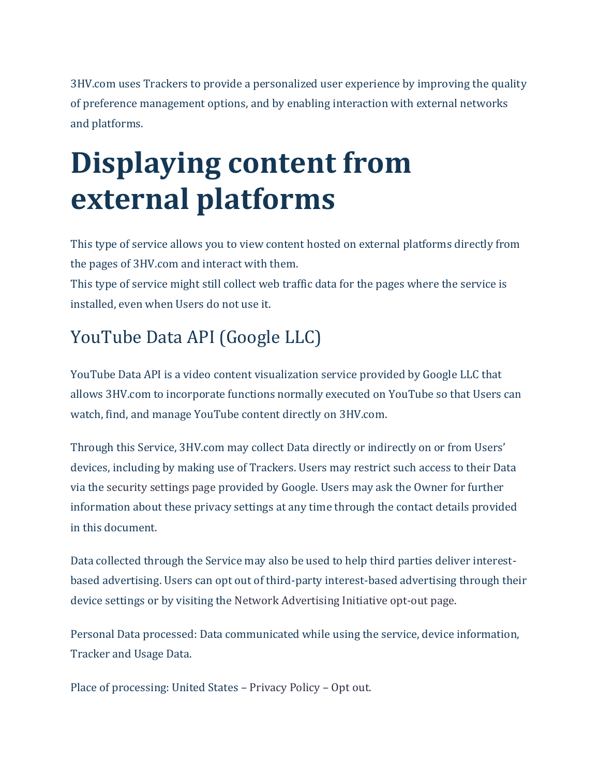3HV.com uses Trackers to provide a personalized user experience by improving the quality of preference management options, and by enabling interaction with external networks and platforms.

# **Displaying content from external platforms**

This type of service allows you to view content hosted on external platforms directly from the pages of 3HV.com and interact with them. This type of service might still collect web traffic data for the pages where the service is

installed, even when Users do not use it.

# YouTube Data API (Google LLC)

YouTube Data API is a video content visualization service provided by Google LLC that allows 3HV.com to incorporate functions normally executed on YouTube so that Users can watch, find, and manage YouTube content directly on 3HV.com.

Through this Service, 3HV.com may collect Data directly or indirectly on or from Users' devices, including by making use of Trackers. Users may restrict such access to their Data via the [security settings page](https://security.google.com/settings/security/permissions) provided by Google. Users may ask the Owner for further information about these privacy settings at any time through the contact details provided in this document.

Data collected through the Service may also be used to help third parties deliver interestbased advertising. Users can opt out of third-party interest-based advertising through their device settings or by visiting the [Network Advertising Initiative opt-out page.](http://optout.networkadvertising.org/?c=1)

Personal Data processed: Data communicated while using the service, device information, Tracker and Usage Data.

Place of processing: United States – [Privacy Policy](http://www.google.com/policies/privacy) – [Opt out.](https://security.google.com/settings/security/permissions)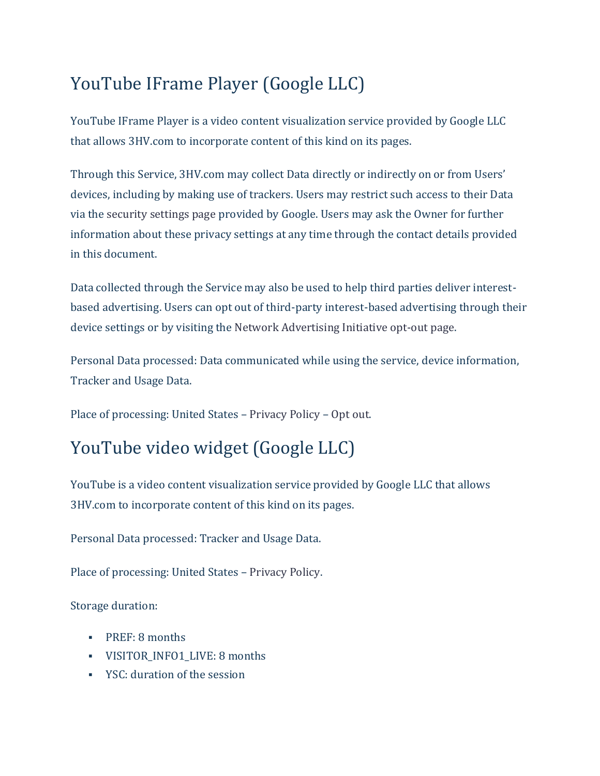### YouTube IFrame Player (Google LLC)

YouTube IFrame Player is a video content visualization service provided by Google LLC that allows 3HV.com to incorporate content of this kind on its pages.

Through this Service, 3HV.com may collect Data directly or indirectly on or from Users' devices, including by making use of trackers. Users may restrict such access to their Data via the [security settings page](https://security.google.com/settings/security/permissions) provided by Google. Users may ask the Owner for further information about these privacy settings at any time through the contact details provided in this document.

Data collected through the Service may also be used to help third parties deliver interestbased advertising. Users can opt out of third-party interest-based advertising through their device settings or by visiting the [Network Advertising Initiative opt-out page.](http://optout.networkadvertising.org/?c=1)

Personal Data processed: Data communicated while using the service, device information, Tracker and Usage Data.

Place of processing: United States – [Privacy Policy](http://www.google.com/policies/privacy) – [Opt out.](https://security.google.com/settings/security/permissions)

#### YouTube video widget (Google LLC)

YouTube is a video content visualization service provided by Google LLC that allows 3HV.com to incorporate content of this kind on its pages.

Personal Data processed: Tracker and Usage Data.

Place of processing: United States – [Privacy Policy.](https://policies.google.com/privacy)

- PREF: 8 months
- VISITOR\_INFO1\_LIVE: 8 months
- YSC: duration of the session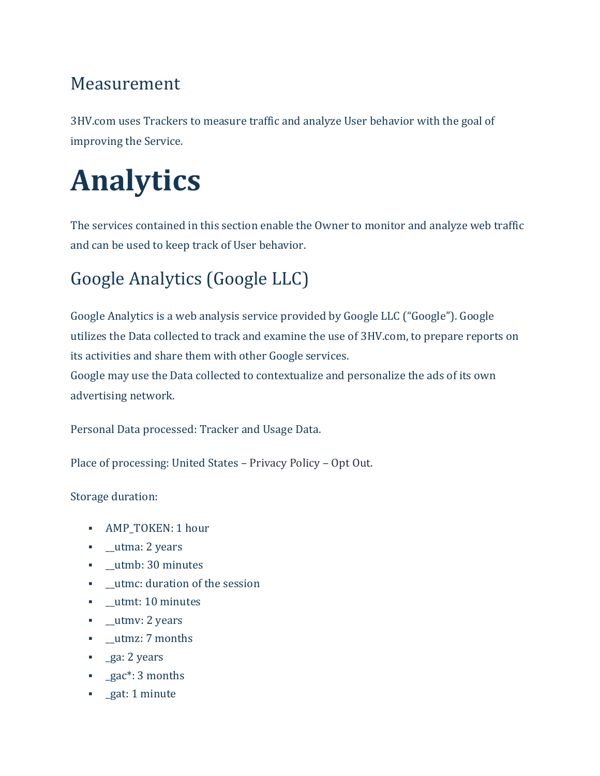#### Measurement

3HV.com uses Trackers to measure traffic and analyze User behavior with the goal of improving the Service.

# **Analytics**

The services contained in this section enable the Owner to monitor and analyze web traffic and can be used to keep track of User behavior.

### Google Analytics (Google LLC)

Google Analytics is a web analysis service provided by Google LLC ("Google"). Google utilizes the Data collected to track and examine the use of 3HV.com, to prepare reports on its activities and share them with other Google services.

Google may use the Data collected to contextualize and personalize the ads of its own advertising network.

Personal Data processed: Tracker and Usage Data.

Place of processing: United States – [Privacy Policy](https://policies.google.com/privacy) – [Opt Out.](https://tools.google.com/dlpage/gaoptout?hl=en)

- AMP\_TOKEN: 1 hour
- **•** \_utma: 2 years
- **•** \_utmb: 30 minutes
- \_\_utmc: duration of the session
- **•** utmt: 10 minutes
- **■** utmv: 2 years
- **•** \_utmz: 7 months
- \_ga: 2 years
- **•** \_gac\*: 3 months
- **•** gat: 1 minute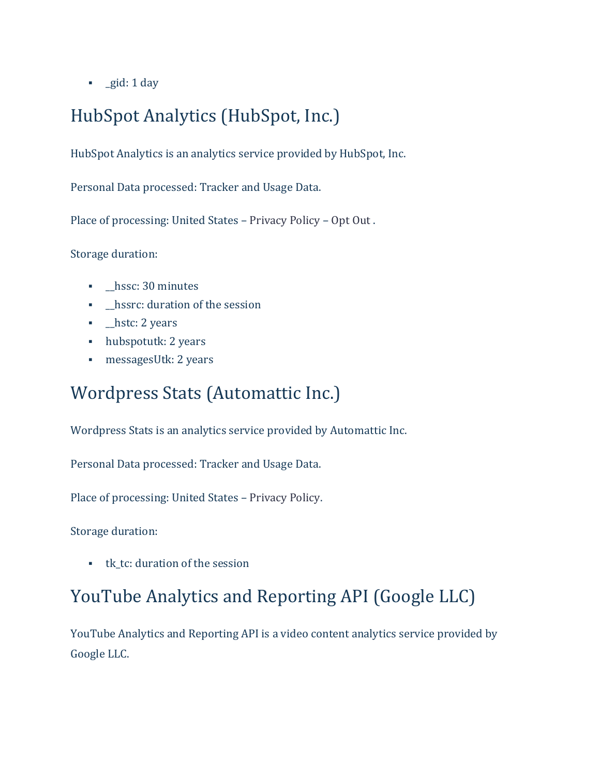▪ \_gid: 1 day

### HubSpot Analytics (HubSpot, Inc.)

HubSpot Analytics is an analytics service provided by HubSpot, Inc.

Personal Data processed: Tracker and Usage Data.

Place of processing: United States – [Privacy Policy](https://legal.hubspot.com/privacy-policy) – [Opt Out](mailto:privacy@hubspot.com) .

Storage duration:

- **•** \_hssc: 30 minutes
- **•** \_hssrc: duration of the session
- **•** \_hstc: 2 years
- hubspotutk: 2 years
- messagesUtk: 2 years

#### Wordpress Stats (Automattic Inc.)

Wordpress Stats is an analytics service provided by Automattic Inc.

Personal Data processed: Tracker and Usage Data.

Place of processing: United States – [Privacy Policy.](https://automattic.com/privacy/)

Storage duration:

■ tk tc: duration of the session

#### YouTube Analytics and Reporting API (Google LLC)

YouTube Analytics and Reporting API is a video content analytics service provided by Google LLC.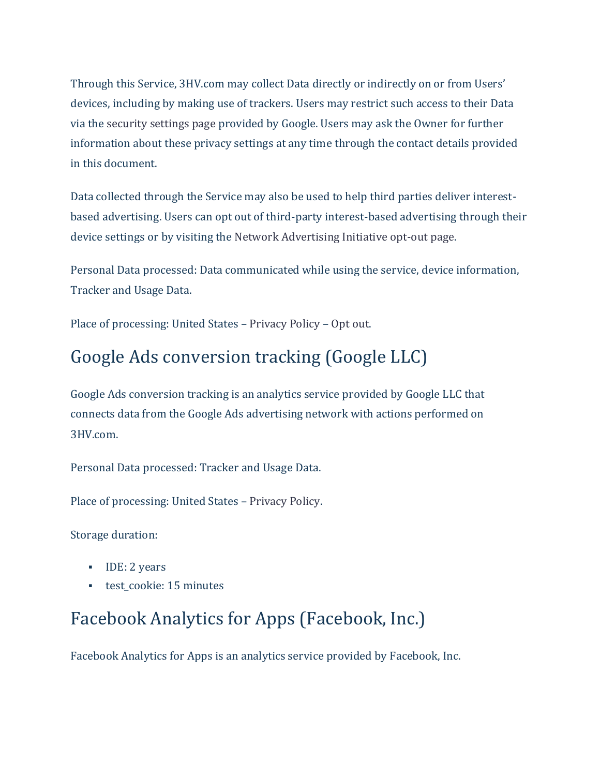Through this Service, 3HV.com may collect Data directly or indirectly on or from Users' devices, including by making use of trackers. Users may restrict such access to their Data via the [security settings page](https://security.google.com/settings/security/permissions) provided by Google. Users may ask the Owner for further information about these privacy settings at any time through the contact details provided in this document.

Data collected through the Service may also be used to help third parties deliver interestbased advertising. Users can opt out of third-party interest-based advertising through their device settings or by visiting the [Network Advertising Initiative opt-out page.](http://optout.networkadvertising.org/?c=1)

Personal Data processed: Data communicated while using the service, device information, Tracker and Usage Data.

Place of processing: United States – [Privacy Policy](http://www.google.com/policies/privacy) – [Opt out.](https://security.google.com/settings/security/permissions)

#### Google Ads conversion tracking (Google LLC)

Google Ads conversion tracking is an analytics service provided by Google LLC that connects data from the Google Ads advertising network with actions performed on 3HV.com.

Personal Data processed: Tracker and Usage Data.

Place of processing: United States – [Privacy Policy.](https://policies.google.com/privacy)

Storage duration:

- IDE: 2 years
- test cookie: 15 minutes

#### Facebook Analytics for Apps (Facebook, Inc.)

Facebook Analytics for Apps is an analytics service provided by Facebook, Inc.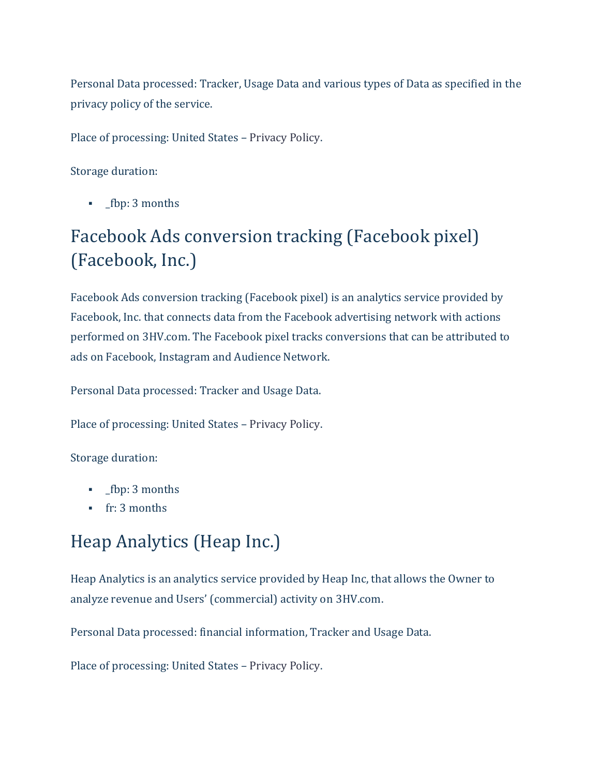Personal Data processed: Tracker, Usage Data and various types of Data as specified in the privacy policy of the service.

Place of processing: United States – [Privacy Policy.](https://www.facebook.com/about/privacy/)

Storage duration:

**•** \_fbp: 3 months

### Facebook Ads conversion tracking (Facebook pixel) (Facebook, Inc.)

Facebook Ads conversion tracking (Facebook pixel) is an analytics service provided by Facebook, Inc. that connects data from the Facebook advertising network with actions performed on 3HV.com. The Facebook pixel tracks conversions that can be attributed to ads on Facebook, Instagram and Audience Network.

Personal Data processed: Tracker and Usage Data.

Place of processing: United States – [Privacy Policy.](https://www.facebook.com/about/privacy/)

Storage duration:

- \_fbp: 3 months
- **fr:** 3 months

#### Heap Analytics (Heap Inc.)

Heap Analytics is an analytics service provided by Heap Inc, that allows the Owner to analyze revenue and Users' (commercial) activity on 3HV.com.

Personal Data processed: financial information, Tracker and Usage Data.

Place of processing: United States – [Privacy Policy.](https://heap.io/privacy)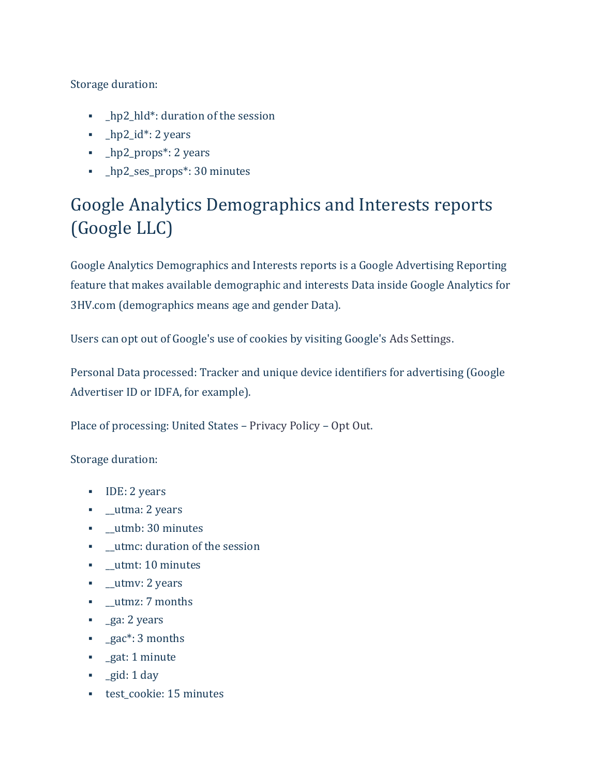Storage duration:

- **•** \_hp2\_hld\*: duration of the session
- \_hp2\_id\*: 2 years
- \_hp2\_props\*: 2 years
- \_hp2\_ses\_props\*: 30 minutes

### Google Analytics Demographics and Interests reports (Google LLC)

Google Analytics Demographics and Interests reports is a Google Advertising Reporting feature that makes available demographic and interests Data inside Google Analytics for 3HV.com (demographics means age and gender Data).

Users can opt out of Google's use of cookies by visiting Google's [Ads Settings.](https://adssettings.google.com/authenticated)

Personal Data processed: Tracker and unique device identifiers for advertising (Google Advertiser ID or IDFA, for example).

Place of processing: United States – [Privacy Policy](https://policies.google.com/privacy) – [Opt Out.](https://tools.google.com/dlpage/gaoptout)

- IDE: 2 years
- **•** \_utma: 2 years
- \_\_utmb: 30 minutes
- **•** utmc: duration of the session
- **•** \_utmt: 10 minutes
- **•** \_utmv: 2 years
- \_\_utmz: 7 months
- **•** \_ga: 2 years
- gac<sup>\*</sup>: 3 months
- **·** gat: 1 minute
- \_gid: 1 day
- **•** test cookie: 15 minutes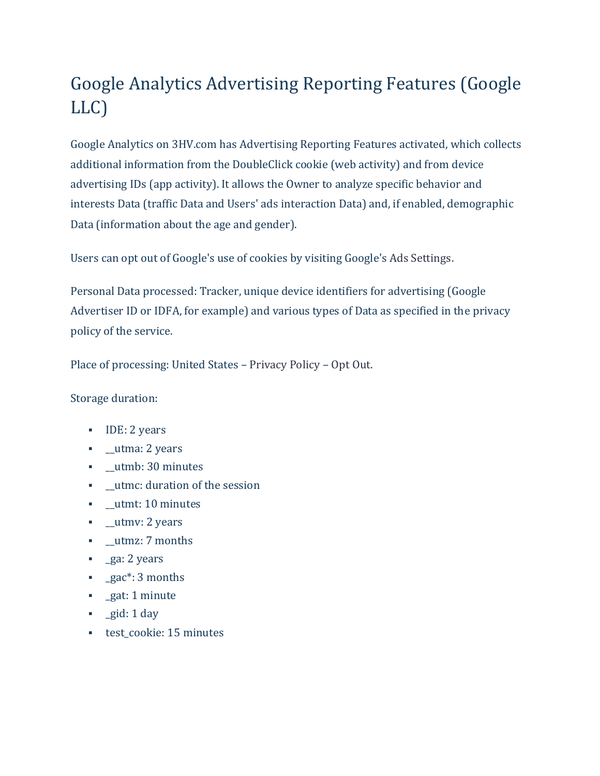### Google Analytics Advertising Reporting Features (Google LLC)

Google Analytics on 3HV.com has Advertising Reporting Features activated, which collects additional information from the DoubleClick cookie (web activity) and from device advertising IDs (app activity). It allows the Owner to analyze specific behavior and interests Data (traffic Data and Users' ads interaction Data) and, if enabled, demographic Data (information about the age and gender).

Users can opt out of Google's use of cookies by visiting Google's [Ads Settings.](https://adssettings.google.com/authenticated)

Personal Data processed: Tracker, unique device identifiers for advertising (Google Advertiser ID or IDFA, for example) and various types of Data as specified in the privacy policy of the service.

Place of processing: United States – [Privacy Policy](https://policies.google.com/privacy) – [Opt Out.](https://tools.google.com/dlpage/gaoptout)

- IDE: 2 years
- **•** \_utma: 2 years
- **•** \_utmb: 30 minutes
- **•** utmc: duration of the session
- **•** \_utmt: 10 minutes
- **•** \_utmv: 2 years
- **•** \_utmz: 7 months
- **•** \_ga: 2 years
- **•** gac<sup>\*</sup>: 3 months
- **•** \_gat: 1 minute
- \_gid: 1 day
- **•** test cookie: 15 minutes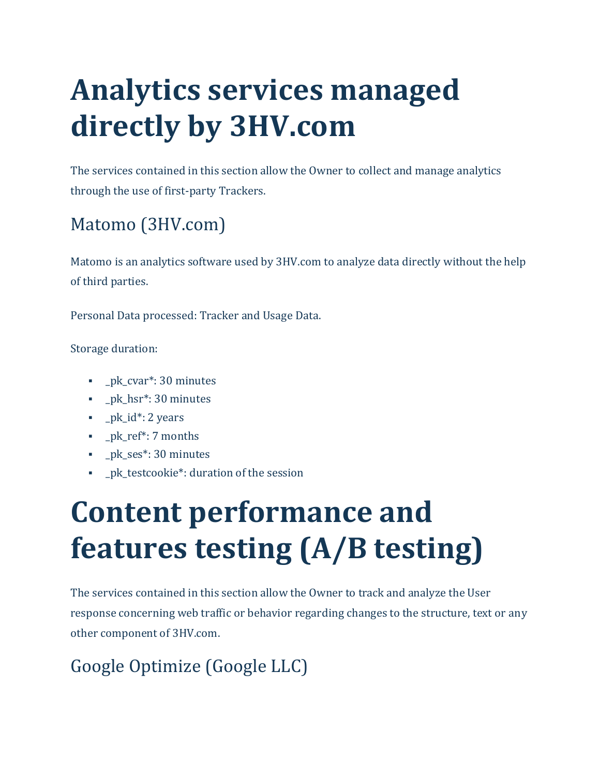# **Analytics services managed directly by 3HV.com**

The services contained in this section allow the Owner to collect and manage analytics through the use of first-party Trackers.

# Matomo (3HV.com)

Matomo is an analytics software used by 3HV.com to analyze data directly without the help of third parties.

Personal Data processed: Tracker and Usage Data.

Storage duration:

- pk\_cvar<sup>\*</sup>: 30 minutes
- \_pk\_hsr\*: 30 minutes
- $\blacksquare$  pk\_id\*: 2 years
- \_pk\_ref\*: 7 months
- **•** \_pk\_ses\*: 30 minutes
- **•** \_pk\_testcookie\*: duration of the session

# **Content performance and features testing (A/B testing)**

The services contained in this section allow the Owner to track and analyze the User response concerning web traffic or behavior regarding changes to the structure, text or any other component of 3HV.com.

### Google Optimize (Google LLC)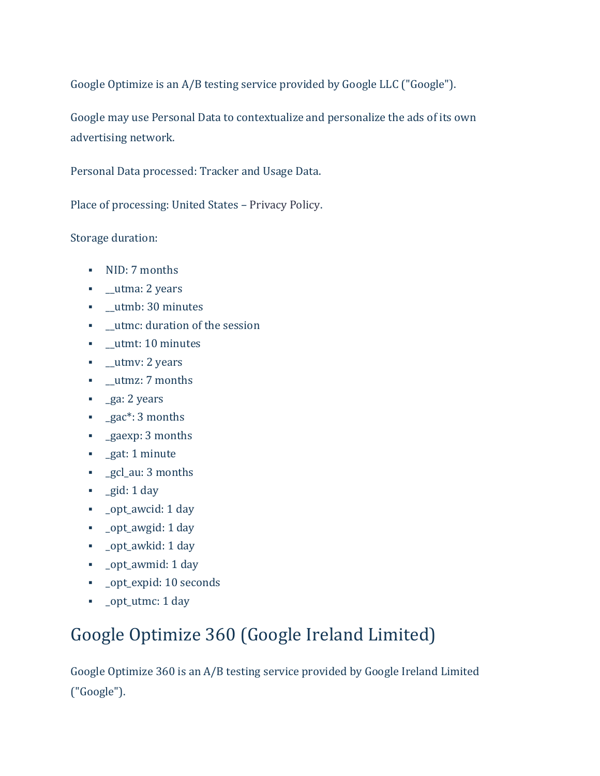Google Optimize is an A/B testing service provided by Google LLC ("Google").

Google may use Personal Data to contextualize and personalize the ads of its own advertising network.

Personal Data processed: Tracker and Usage Data.

Place of processing: United States – [Privacy Policy.](https://policies.google.com/privacy)

Storage duration:

- NID: 7 months
- **•** \_utma: 2 years
- **•** \_utmb: 30 minutes
- \_\_utmc: duration of the session
- **•** \_utmt: 10 minutes
- **■** utmv: 2 years
- **•** \_utmz: 7 months
- **•** ga: 2 years
- gac<sup>\*</sup>: 3 months
- **•** gaexp: 3 months
- **·** gat: 1 minute
- \_gcl\_au: 3 months
- gid: 1 day
- \_opt\_awcid: 1 day
- \_opt\_awgid: 1 day
- \_opt\_awkid: 1 day
- \_opt\_awmid: 1 day
- \_opt\_expid: 10 seconds
- \_opt\_utmc: 1 day

#### Google Optimize 360 (Google Ireland Limited)

Google Optimize 360 is an A/B testing service provided by Google Ireland Limited ("Google").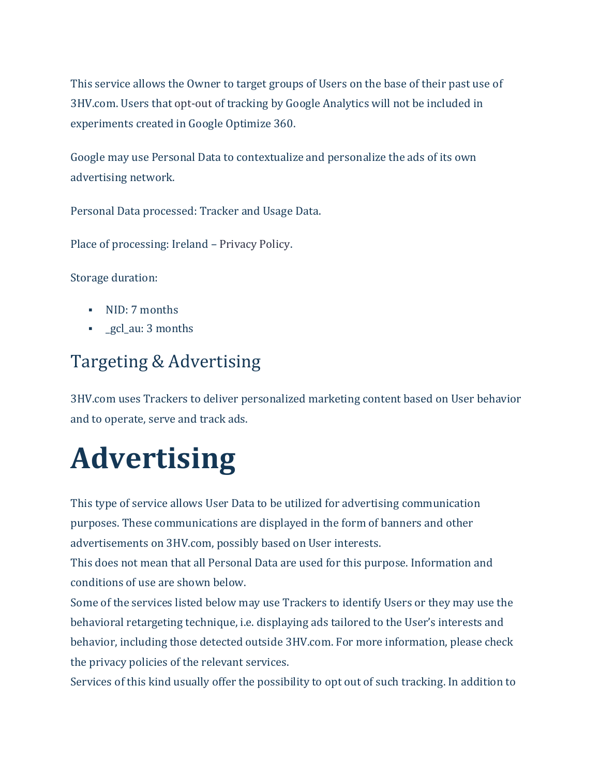This service allows the Owner to target groups of Users on the base of their past use of 3HV.com. Users that [opt-out](https://tools.google.com/dlpage/gaoptout?hl) of tracking by Google Analytics will not be included in experiments created in Google Optimize 360.

Google may use Personal Data to contextualize and personalize the ads of its own advertising network.

Personal Data processed: Tracker and Usage Data.

Place of processing: Ireland – [Privacy Policy.](https://policies.google.com/privacy)

Storage duration:

- NID: 7 months
- **•** gcl\_au: 3 months

#### Targeting & Advertising

3HV.com uses Trackers to deliver personalized marketing content based on User behavior and to operate, serve and track ads.

# **Advertising**

This type of service allows User Data to be utilized for advertising communication purposes. These communications are displayed in the form of banners and other advertisements on 3HV.com, possibly based on User interests.

This does not mean that all Personal Data are used for this purpose. Information and conditions of use are shown below.

Some of the services listed below may use Trackers to identify Users or they may use the behavioral retargeting technique, i.e. displaying ads tailored to the User's interests and behavior, including those detected outside 3HV.com. For more information, please check the privacy policies of the relevant services.

Services of this kind usually offer the possibility to opt out of such tracking. In addition to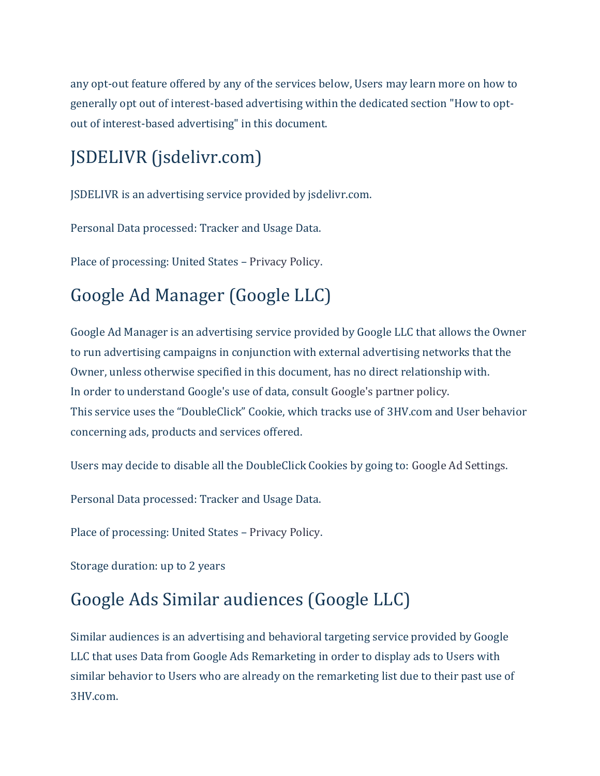any opt-out feature offered by any of the services below, Users may learn more on how to generally opt out of interest-based advertising within the dedicated section "How to optout of interest-based advertising" in this document.

# JSDELIVR (jsdelivr.com)

JSDELIVR is an advertising service provided by jsdelivr.com.

Personal Data processed: Tracker and Usage Data.

Place of processing: United States – [Privacy Policy.](https://www.jsdelivr.com/terms/privacy-policy-jsdelivr-net)

# Google Ad Manager (Google LLC)

Google Ad Manager is an advertising service provided by Google LLC that allows the Owner to run advertising campaigns in conjunction with external advertising networks that the Owner, unless otherwise specified in this document, has no direct relationship with. In order to understand Google's use of data, consult [Google's partner policy.](https://policies.google.com/technologies/partner-sites) This service uses the "DoubleClick" Cookie, which tracks use of 3HV.com and User behavior concerning ads, products and services offered.

Users may decide to disable all the DoubleClick Cookies by going to: [Google Ad Settings.](https://adssettings.google.com/authenticated?hl=en)

Personal Data processed: Tracker and Usage Data.

Place of processing: United States – [Privacy Policy.](https://policies.google.com/privacy)

Storage duration: up to 2 years

### Google Ads Similar audiences (Google LLC)

Similar audiences is an advertising and behavioral targeting service provided by Google LLC that uses Data from Google Ads Remarketing in order to display ads to Users with similar behavior to Users who are already on the remarketing list due to their past use of 3HV.com.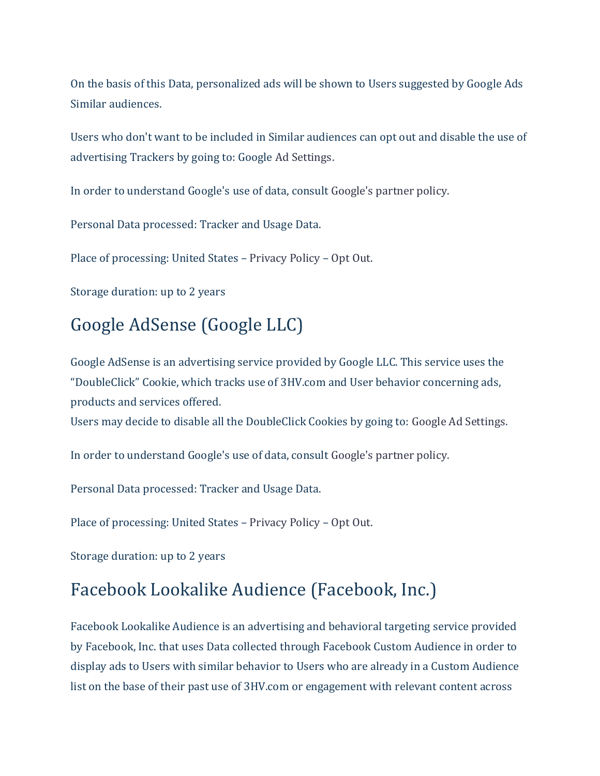On the basis of this Data, personalized ads will be shown to Users suggested by Google Ads Similar audiences.

Users who don't want to be included in Similar audiences can opt out and disable the use of advertising Trackers by going to: Google [Ad Settings.](https://adssettings.google.com/authenticated)

In order to understand Google's use of data, consult [Google's partner policy.](https://policies.google.com/technologies/partner-sites)

Personal Data processed: Tracker and Usage Data.

Place of processing: United States – [Privacy Policy](https://policies.google.com/privacy) – [Opt Out.](https://adssettings.google.com/authenticated)

Storage duration: up to 2 years

#### Google AdSense (Google LLC)

Google AdSense is an advertising service provided by Google LLC. This service uses the "DoubleClick" Cookie, which tracks use of 3HV.com and User behavior concerning ads, products and services offered.

Users may decide to disable all the DoubleClick Cookies by going to: [Google Ad Settings.](https://adssettings.google.com/authenticated?hl=en)

In order to understand Google's use of data, consult [Google's partner policy.](https://policies.google.com/technologies/partner-sites)

Personal Data processed: Tracker and Usage Data.

Place of processing: United States – [Privacy Policy](https://policies.google.com/privacy) – [Opt Out.](https://adssettings.google.com/authenticated)

Storage duration: up to 2 years

#### Facebook Lookalike Audience (Facebook, Inc.)

Facebook Lookalike Audience is an advertising and behavioral targeting service provided by Facebook, Inc. that uses Data collected through Facebook Custom Audience in order to display ads to Users with similar behavior to Users who are already in a Custom Audience list on the base of their past use of 3HV.com or engagement with relevant content across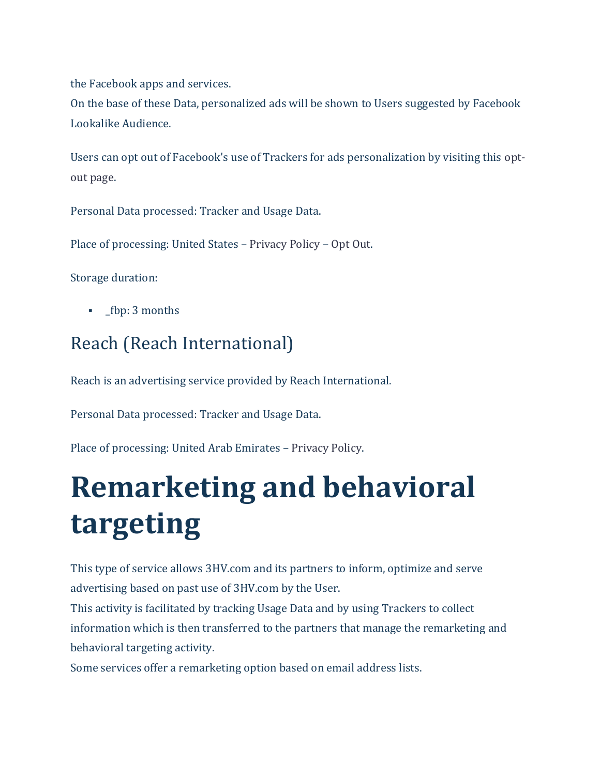the Facebook apps and services.

On the base of these Data, personalized ads will be shown to Users suggested by Facebook Lookalike Audience.

Users can opt out of Facebook's use of Trackers for ads personalization by visiting this [opt](https://www.aboutads.info/choices/)[out page.](https://www.aboutads.info/choices/)

Personal Data processed: Tracker and Usage Data.

Place of processing: United States – [Privacy Policy](https://www.facebook.com/about/privacy/) – [Opt Out.](https://www.aboutads.info/choices/)

Storage duration:

**•** fbp: 3 months

#### Reach (Reach International)

Reach is an advertising service provided by Reach International.

Personal Data processed: Tracker and Usage Data.

Place of processing: United Arab Emirates – [Privacy Policy.](http://www.reachadv.com/#anchor2)

# **Remarketing and behavioral targeting**

This type of service allows 3HV.com and its partners to inform, optimize and serve advertising based on past use of 3HV.com by the User.

This activity is facilitated by tracking Usage Data and by using Trackers to collect information which is then transferred to the partners that manage the remarketing and behavioral targeting activity.

Some services offer a remarketing option based on email address lists.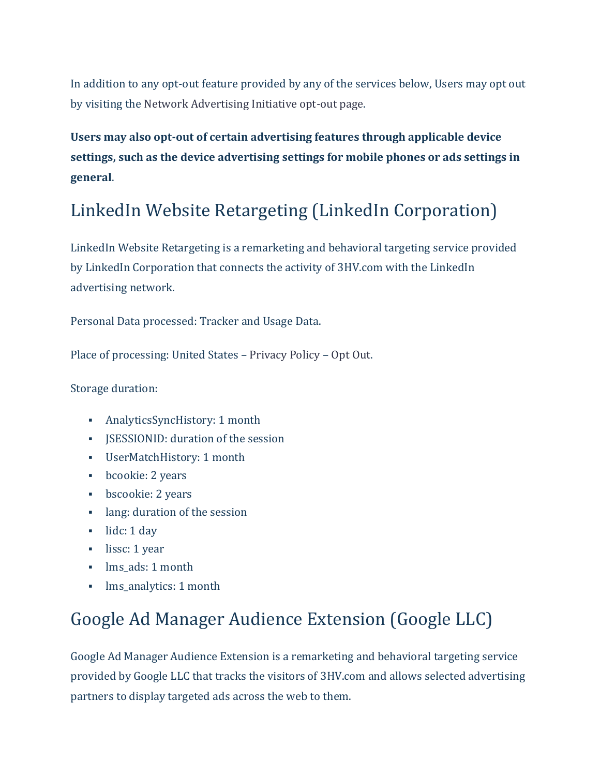In addition to any opt-out feature provided by any of the services below, Users may opt out by visiting the [Network Advertising Initiative opt-out page.](http://optout.networkadvertising.org/?c=1)

**Users may also opt-out of certain advertising features through applicable device settings, such as the device advertising settings for mobile phones or ads settings in general**.

#### LinkedIn Website Retargeting (LinkedIn Corporation)

LinkedIn Website Retargeting is a remarketing and behavioral targeting service provided by LinkedIn Corporation that connects the activity of 3HV.com with the LinkedIn advertising network.

Personal Data processed: Tracker and Usage Data.

Place of processing: United States – [Privacy Policy](https://www.linkedin.com/legal/privacy-policy) – [Opt Out.](https://www.linkedin.com/legal/cookie_policy)

Storage duration:

- AnalyticsSyncHistory: 1 month
- JSESSIONID: duration of the session
- UserMatchHistory: 1 month
- bcookie: 2 years
- bscookie: 2 years
- lang: duration of the session
- $\blacksquare$  lidc: 1 day
- lissc: 1 year
- **·** lms ads: 1 month
- **•** lms\_analytics: 1 month

#### Google Ad Manager Audience Extension (Google LLC)

Google Ad Manager Audience Extension is a remarketing and behavioral targeting service provided by Google LLC that tracks the visitors of 3HV.com and allows selected advertising partners to display targeted ads across the web to them.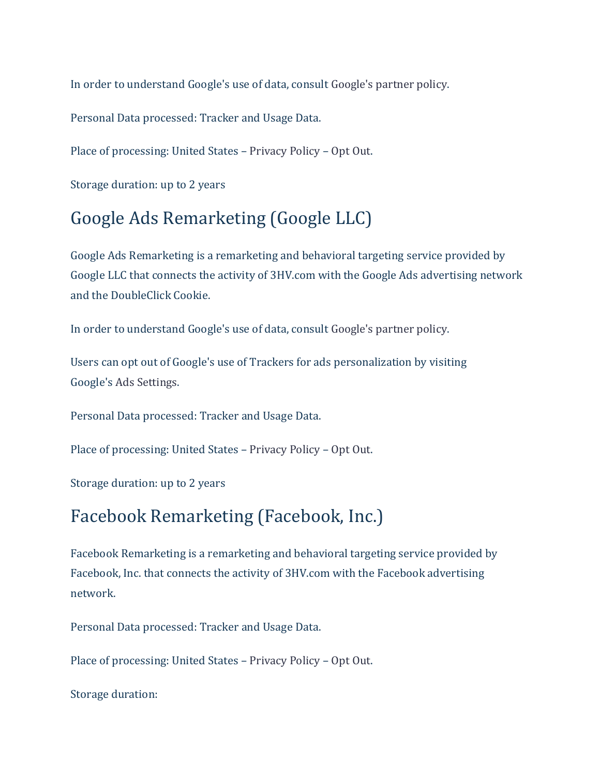In order to understand Google's use of data, consult [Google's partner policy.](https://policies.google.com/technologies/partner-sites)

Personal Data processed: Tracker and Usage Data.

Place of processing: United States – [Privacy Policy](https://policies.google.com/privacy) – [Opt Out.](https://adssettings.google.com/authenticated#display_optout)

Storage duration: up to 2 years

#### Google Ads Remarketing (Google LLC)

Google Ads Remarketing is a remarketing and behavioral targeting service provided by Google LLC that connects the activity of 3HV.com with the Google Ads advertising network and the DoubleClick Cookie.

In order to understand Google's use of data, consult [Google's partner policy.](https://policies.google.com/technologies/partner-sites)

Users can opt out of Google's use of Trackers for ads personalization by visiting Google's [Ads Settings.](https://adssettings.google.com/authenticated)

Personal Data processed: Tracker and Usage Data.

Place of processing: United States – [Privacy Policy](https://policies.google.com/privacy) – [Opt Out.](https://adssettings.google.com/authenticated)

Storage duration: up to 2 years

#### Facebook Remarketing (Facebook, Inc.)

Facebook Remarketing is a remarketing and behavioral targeting service provided by Facebook, Inc. that connects the activity of 3HV.com with the Facebook advertising network.

Personal Data processed: Tracker and Usage Data.

Place of processing: United States – [Privacy Policy](https://www.facebook.com/about/privacy/) – [Opt Out.](https://www.aboutads.info/choices/)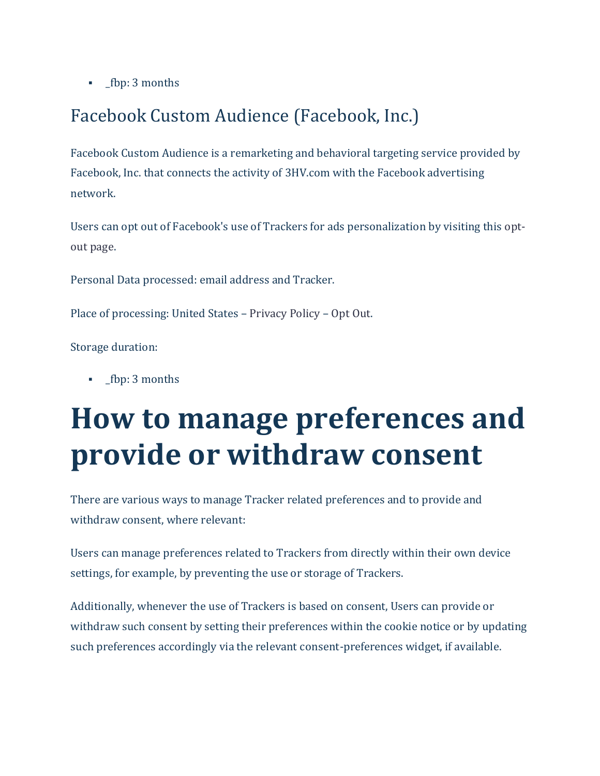▪ \_fbp: 3 months

#### Facebook Custom Audience (Facebook, Inc.)

Facebook Custom Audience is a remarketing and behavioral targeting service provided by Facebook, Inc. that connects the activity of 3HV.com with the Facebook advertising network.

Users can opt out of Facebook's use of Trackers for ads personalization by visiting this [opt](https://www.aboutads.info/choices/)[out page.](https://www.aboutads.info/choices/)

Personal Data processed: email address and Tracker.

Place of processing: United States – [Privacy Policy](https://www.facebook.com/about/privacy/) – [Opt Out.](https://www.aboutads.info/choices/)

Storage duration:

**•** fbp: 3 months

# **How to manage preferences and provide or withdraw consent**

There are various ways to manage Tracker related preferences and to provide and withdraw consent, where relevant:

Users can manage preferences related to Trackers from directly within their own device settings, for example, by preventing the use or storage of Trackers.

Additionally, whenever the use of Trackers is based on consent, Users can provide or withdraw such consent by setting their preferences within the cookie notice or by updating such preferences accordingly via the relevant consent-preferences widget, if available.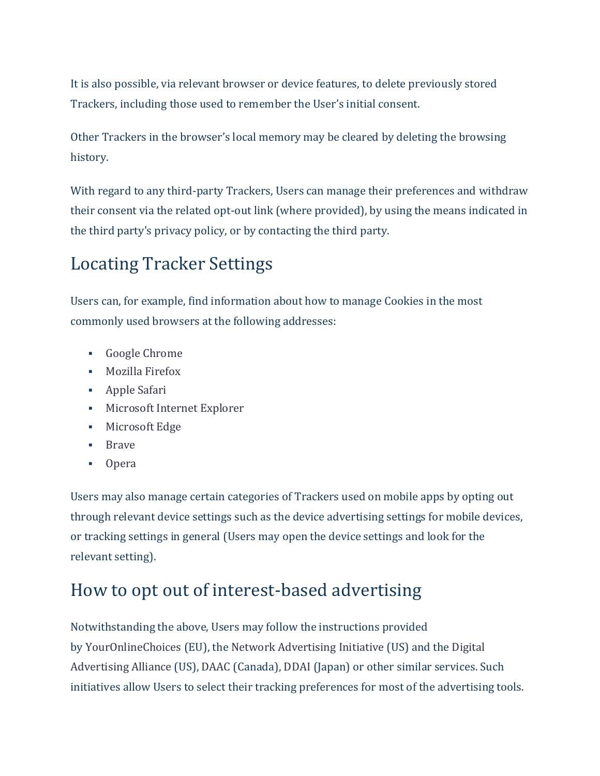It is also possible, via relevant browser or device features, to delete previously stored Trackers, including those used to remember the User's initial consent.

Other Trackers in the browser's local memory may be cleared by deleting the browsing history.

With regard to any third-party Trackers, Users can manage their preferences and withdraw their consent via the related opt-out link (where provided), by using the means indicated in the third party's privacy policy, or by contacting the third party.

#### Locating Tracker Settings

Users can, for example, find information about how to manage Cookies in the most commonly used browsers at the following addresses:

- [Google Chrome](https://support.google.com/chrome/answer/95647?hl=en&p=cpn_cookies)
- [Mozilla Firefox](https://support.mozilla.org/en-US/kb/enable-and-disable-cookies-website-preferences)
- [Apple Safari](https://support.apple.com/guide/safari/manage-cookies-and-website-data-sfri11471/)
- [Microsoft Internet Explorer](http://windows.microsoft.com/en-us/windows-vista/block-or-allow-cookies)
- [Microsoft Edge](https://support.microsoft.com/en-us/help/4027947)
- [Brave](https://support.brave.com/hc/en-us/articles/360022806212-How-do-I-use-Shields-while-browsing)
- [Opera](https://help.opera.com/en/latest/web-preferences/#cookies)

Users may also manage certain categories of Trackers used on mobile apps by opting out through relevant device settings such as the device advertising settings for mobile devices, or tracking settings in general (Users may open the device settings and look for the relevant setting).

#### How to opt out of interest-based advertising

Notwithstanding the above, Users may follow the instructions provided by [YourOnlineChoices](http://www.youronlinechoices.eu/) (EU), the [Network Advertising Initiative](https://thenai.org/about-online-advertising/) (US) and the [Digital](https://www.aboutads.info/consumers/)  [Advertising Alliance](https://www.aboutads.info/consumers/) (US), [DAAC](https://youradchoices.ca/understanding-online-advertising/) (Canada), [DDAI](http://www.ddai.info/optout) (Japan) or other similar services. Such initiatives allow Users to select their tracking preferences for most of the advertising tools.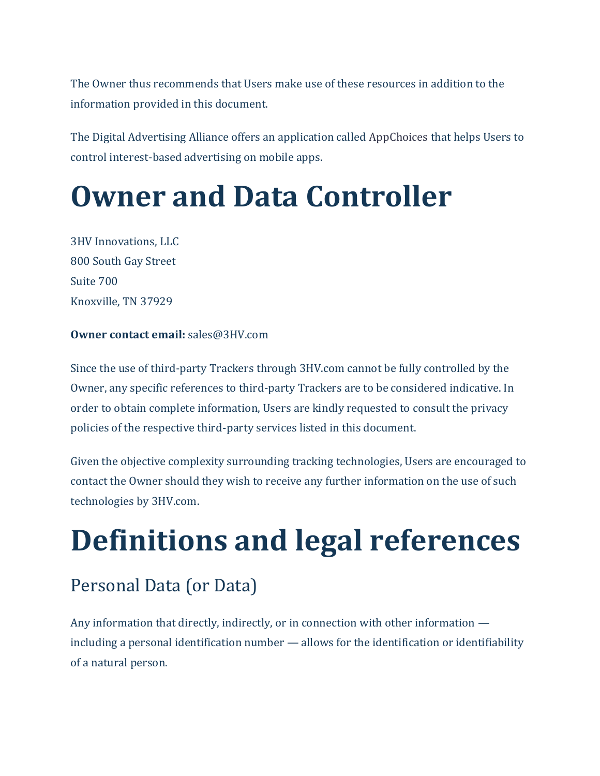The Owner thus recommends that Users make use of these resources in addition to the information provided in this document.

The Digital Advertising Alliance offers an application called [AppChoices](https://youradchoices.com/appchoices) that helps Users to control interest-based advertising on mobile apps.

# **Owner and Data Controller**

3HV Innovations, LLC 800 South Gay Street Suite 700 Knoxville, TN 37929

#### **Owner contact email:** sales@3HV.com

Since the use of third-party Trackers through 3HV.com cannot be fully controlled by the Owner, any specific references to third-party Trackers are to be considered indicative. In order to obtain complete information, Users are kindly requested to consult the privacy policies of the respective third-party services listed in this document.

Given the objective complexity surrounding tracking technologies, Users are encouraged to contact the Owner should they wish to receive any further information on the use of such technologies by 3HV.com.

# **Definitions and legal references**

#### Personal Data (or Data)

Any information that directly, indirectly, or in connection with other information including a personal identification number — allows for the identification or identifiability of a natural person.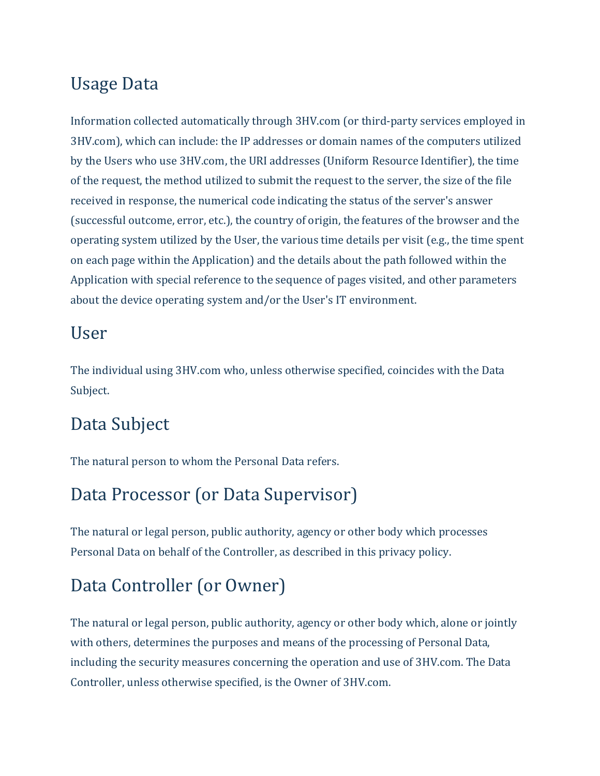#### Usage Data

Information collected automatically through 3HV.com (or third-party services employed in 3HV.com), which can include: the IP addresses or domain names of the computers utilized by the Users who use 3HV.com, the URI addresses (Uniform Resource Identifier), the time of the request, the method utilized to submit the request to the server, the size of the file received in response, the numerical code indicating the status of the server's answer (successful outcome, error, etc.), the country of origin, the features of the browser and the operating system utilized by the User, the various time details per visit (e.g., the time spent on each page within the Application) and the details about the path followed within the Application with special reference to the sequence of pages visited, and other parameters about the device operating system and/or the User's IT environment.

#### User

The individual using 3HV.com who, unless otherwise specified, coincides with the Data Subject.

#### Data Subject

The natural person to whom the Personal Data refers.

#### Data Processor (or Data Supervisor)

The natural or legal person, public authority, agency or other body which processes Personal Data on behalf of the Controller, as described in this privacy policy.

### Data Controller (or Owner)

The natural or legal person, public authority, agency or other body which, alone or jointly with others, determines the purposes and means of the processing of Personal Data, including the security measures concerning the operation and use of 3HV.com. The Data Controller, unless otherwise specified, is the Owner of 3HV.com.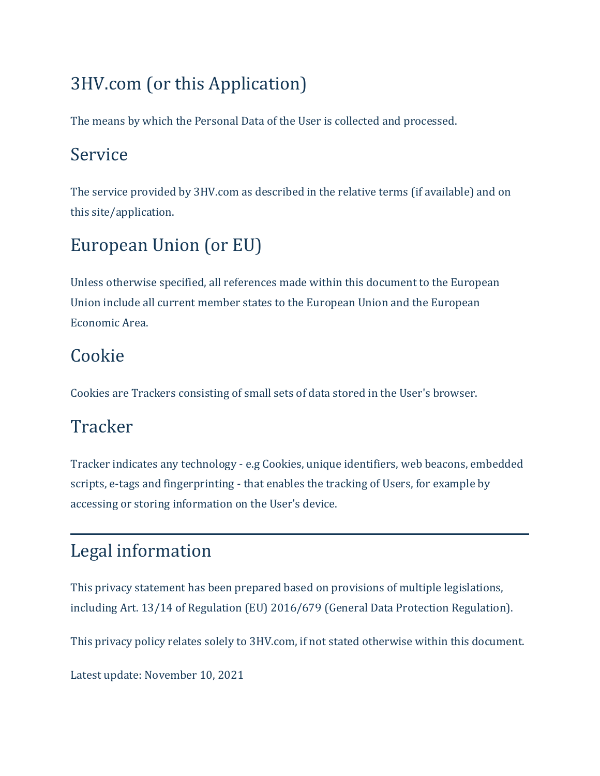## 3HV.com (or this Application)

The means by which the Personal Data of the User is collected and processed.

#### Service

The service provided by 3HV.com as described in the relative terms (if available) and on this site/application.

# European Union (or EU)

Unless otherwise specified, all references made within this document to the European Union include all current member states to the European Union and the European Economic Area.

### Cookie

Cookies are Trackers consisting of small sets of data stored in the User's browser.

### **Tracker**

Tracker indicates any technology - e.g Cookies, unique identifiers, web beacons, embedded scripts, e-tags and fingerprinting - that enables the tracking of Users, for example by accessing or storing information on the User's device.

# Legal information

This privacy statement has been prepared based on provisions of multiple legislations, including Art. 13/14 of Regulation (EU) 2016/679 (General Data Protection Regulation).

This privacy policy relates solely to 3HV.com, if not stated otherwise within this document.

Latest update: November 10, 2021